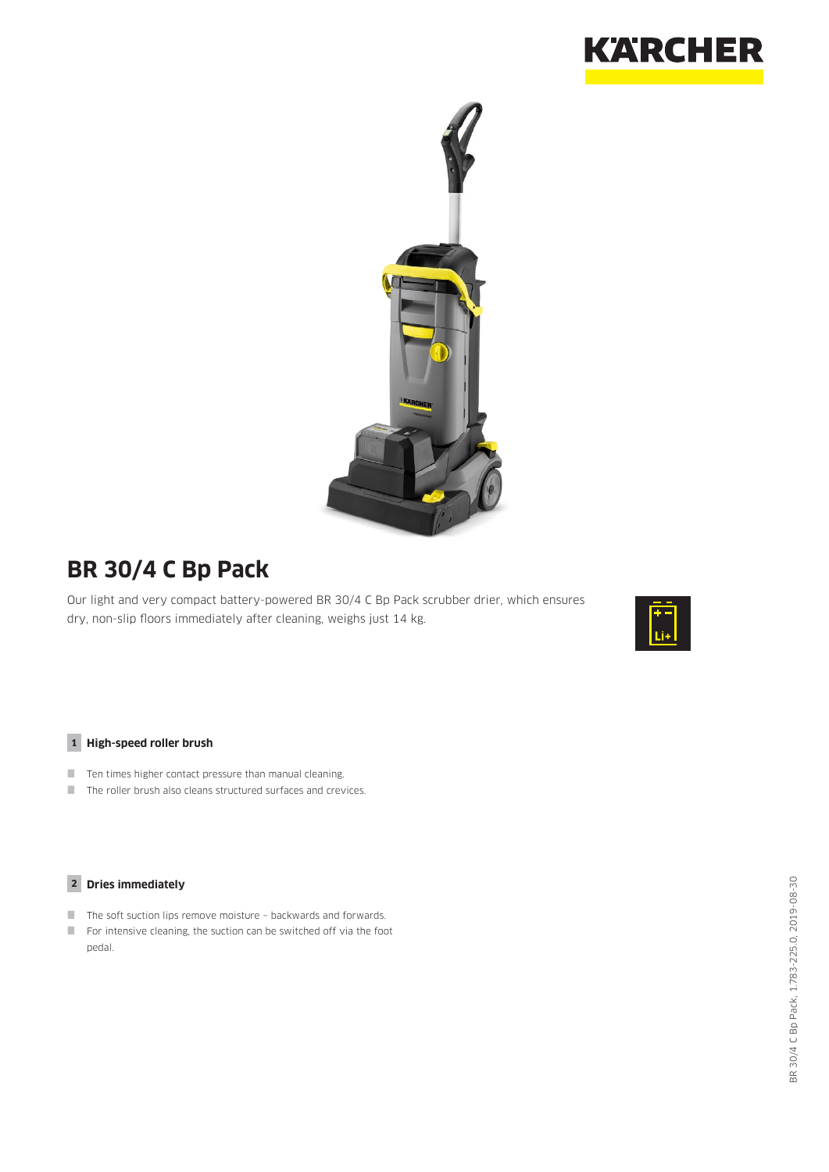



# **BR 30/4 C Bp Pack**

Our light and very compact battery-powered BR 30/4 C Bp Pack scrubber drier, which ensures dry, non-slip floors immediately after cleaning, weighs just 14 kg.



#### **1 High-speed roller brush**

- $\blacksquare$  Ten times higher contact pressure than manual cleaning.
- The roller brush also cleans structured surfaces and crevices.

### **2 Dries immediately**

- The soft suction lips remove moisture backwards and forwards.
- For intensive cleaning, the suction can be switched off via the foot pedal.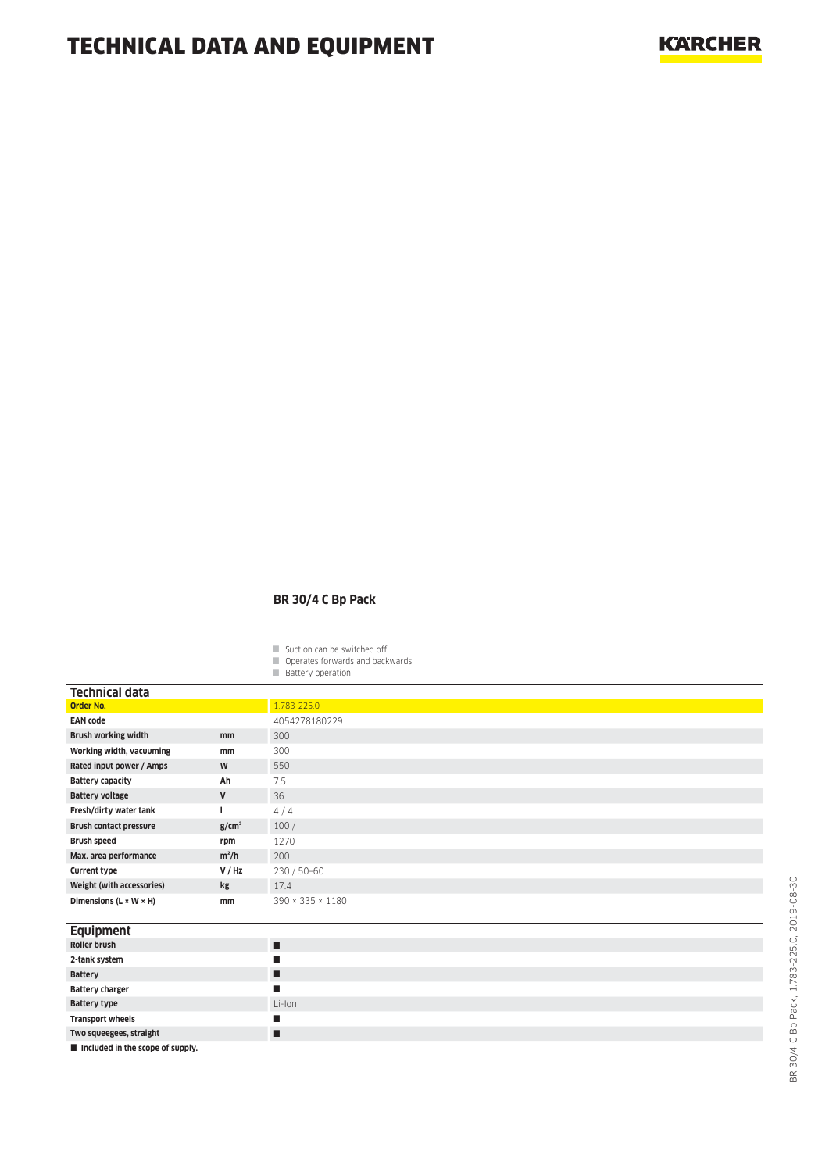### **BR 30/4 C Bp Pack**

- Suction can be switched off
- Operates forwards and backwards
- **Battery operation**

| <b>Technical data</b>                |                   |                  |
|--------------------------------------|-------------------|------------------|
| <b>Order No.</b>                     |                   | 1.783-225.0      |
| <b>EAN code</b>                      |                   | 4054278180229    |
| <b>Brush working width</b>           | mm                | 300              |
| Working width, vacuuming             | mm                | 300              |
| Rated input power / Amps             | W                 | 550              |
| <b>Battery capacity</b>              | Ah                | 7.5              |
| <b>Battery voltage</b>               | V                 | 36               |
| Fresh/dirty water tank               |                   | 4/4              |
| <b>Brush contact pressure</b>        | g/cm <sup>2</sup> | 100/             |
| <b>Brush speed</b>                   | rpm               | 1270             |
| Max. area performance                | $m^2/h$           | 200              |
| <b>Current type</b>                  | V / Hz            | 230 / 50-60      |
| Weight (with accessories)            | kg                | 17.4             |
| Dimensions ( $L \times W \times H$ ) | mm                | 390 × 335 × 1180 |
|                                      |                   |                  |
| <b>Equipment</b>                     |                   |                  |
| Roller brush                         |                   | п                |
| 2-tank system                        |                   | п                |
| <b>Battery</b>                       |                   | п                |
| <b>Battery charger</b>               |                   | п                |
| <b>Battery type</b>                  |                   | Li-Ion           |
| <b>Transport wheels</b>              |                   | п                |
| Two squeegees, straight              |                   | п                |
| Included in the scope of supply.     |                   |                  |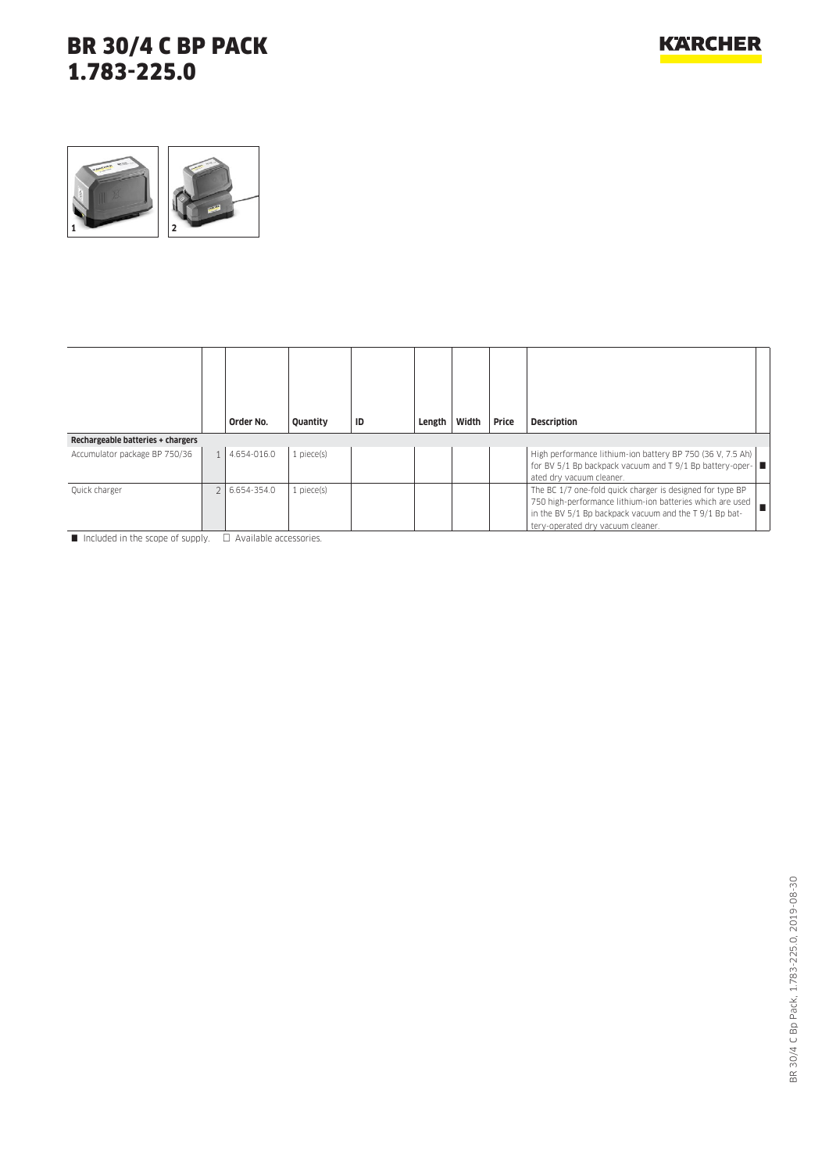

|                                   | Order No.   | Quantity        | ID | Length | Width | Price | <b>Description</b>                                                                                                                                                                                                    |
|-----------------------------------|-------------|-----------------|----|--------|-------|-------|-----------------------------------------------------------------------------------------------------------------------------------------------------------------------------------------------------------------------|
| Rechargeable batteries + chargers |             |                 |    |        |       |       |                                                                                                                                                                                                                       |
| Accumulator package BP 750/36     | 4.654-016.0 | $1$ piece $(s)$ |    |        |       |       | High performance lithium-ion battery BP 750 (36 V, 7.5 Ah)<br>for BV 5/1 Bp backpack vacuum and T 9/1 Bp battery-oper-<br>ated dry vacuum cleaner.                                                                    |
| Quick charger                     | 6.654-354.0 | 1 piece(s)      |    |        |       |       | The BC 1/7 one-fold quick charger is designed for type BP<br>750 high-performance lithium-ion batteries which are used<br>in the BV 5/1 Bp backpack vacuum and the T 9/1 Bp bat-<br>tery-operated dry vacuum cleaner. |

 $\blacksquare$  Included in the scope of supply.  $\Box$  Available accessories.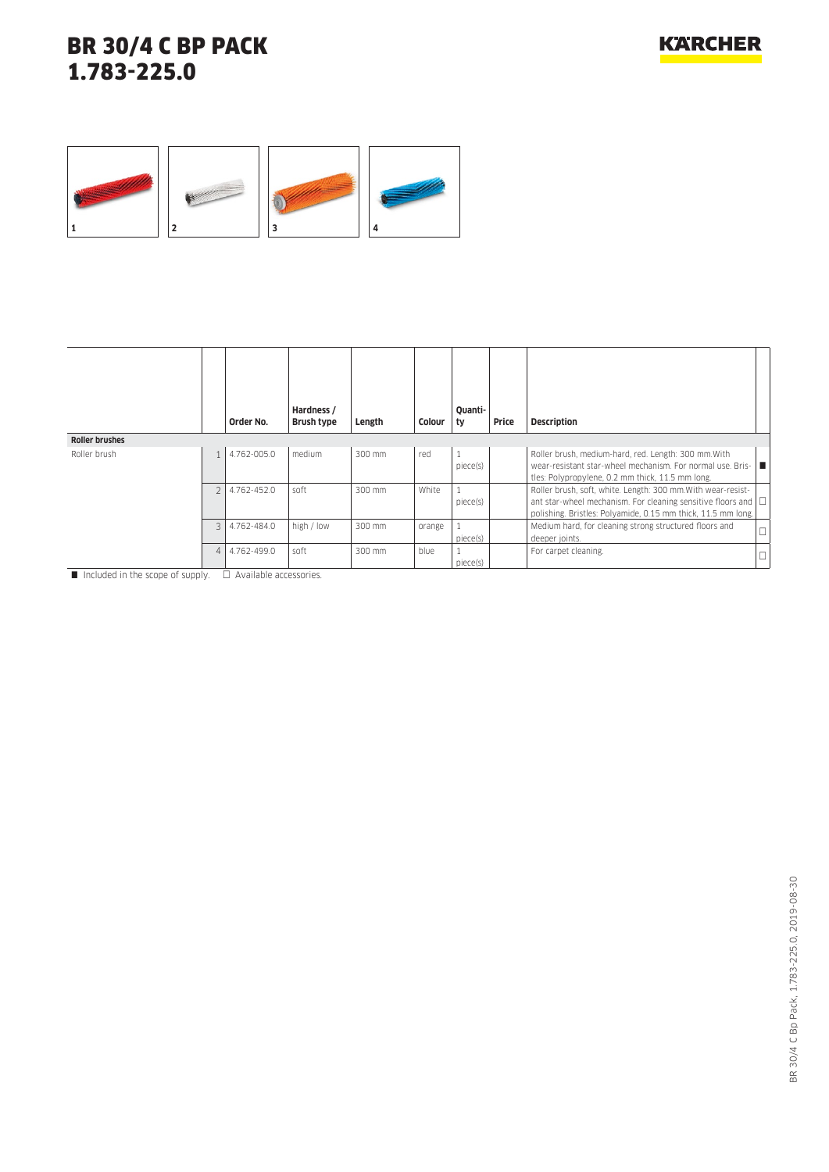

|                       |                | Order No.   | Hardness /<br>Brush type | Length | Colour | Ouanti-<br>ty | Price | <b>Description</b>                                                                                                                                                                                 |        |
|-----------------------|----------------|-------------|--------------------------|--------|--------|---------------|-------|----------------------------------------------------------------------------------------------------------------------------------------------------------------------------------------------------|--------|
| <b>Roller brushes</b> |                |             |                          |        |        |               |       |                                                                                                                                                                                                    |        |
| Roller brush          |                | 4.762-005.0 | medium                   | 300 mm | red    | piece(s)      |       | Roller brush, medium-hard, red. Length: 300 mm. With<br>wear-resistant star-wheel mechanism. For normal use, Bris-  ■<br>tles: Polypropylene, 0.2 mm thick, 11.5 mm long.                          |        |
|                       | $\mathfrak{D}$ | 4.762-452.0 | soft                     | 300 mm | White  | piece(s)      |       | Roller brush, soft, white. Length: 300 mm. With wear-resist-<br>ant star-wheel mechanism. For cleaning sensitive floors and $\Box$<br>polishing. Bristles: Polyamide, 0.15 mm thick, 11.5 mm long. |        |
|                       | $\mathcal{L}$  | 4.762-484.0 | high / low               | 300 mm | orange | piece(s)      |       | Medium hard, for cleaning strong structured floors and<br>deeper joints.                                                                                                                           | $\Box$ |
|                       | 4              | 4.762-499.0 | soft                     | 300 mm | blue   | piece(s)      |       | For carpet cleaning.                                                                                                                                                                               | □      |

 $\Box$  Included in the scope of supply.  $\Box$  Available accessories.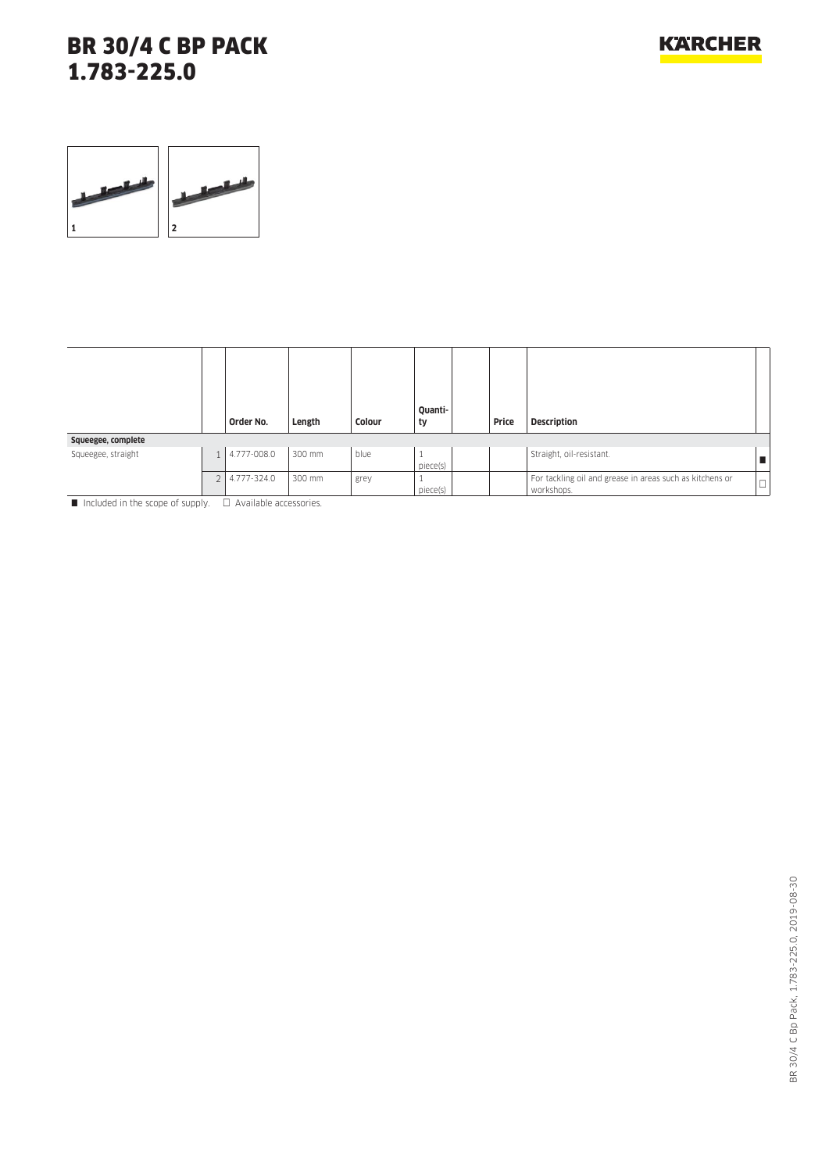

|                    |                | Order No.   | Length | Colour | Quanti-<br>ty | Price | <b>Description</b>                                                     |            |
|--------------------|----------------|-------------|--------|--------|---------------|-------|------------------------------------------------------------------------|------------|
| Squeegee, complete |                |             |        |        |               |       |                                                                        |            |
| Squeegee, straight | 1 <sup>1</sup> | 4.777-008.0 | 300 mm | blue   | piece(s)      |       | Straight, oil-resistant.                                               |            |
|                    | <sup>1</sup>   | 4.777-324.0 | 300 mm | grey   | piece(s)      |       | For tackling oil and grease in areas such as kitchens or<br>workshops. | m.<br>۱ سا |

 $\blacksquare$  Included in the scope of supply.  $\Box$  Available accessories.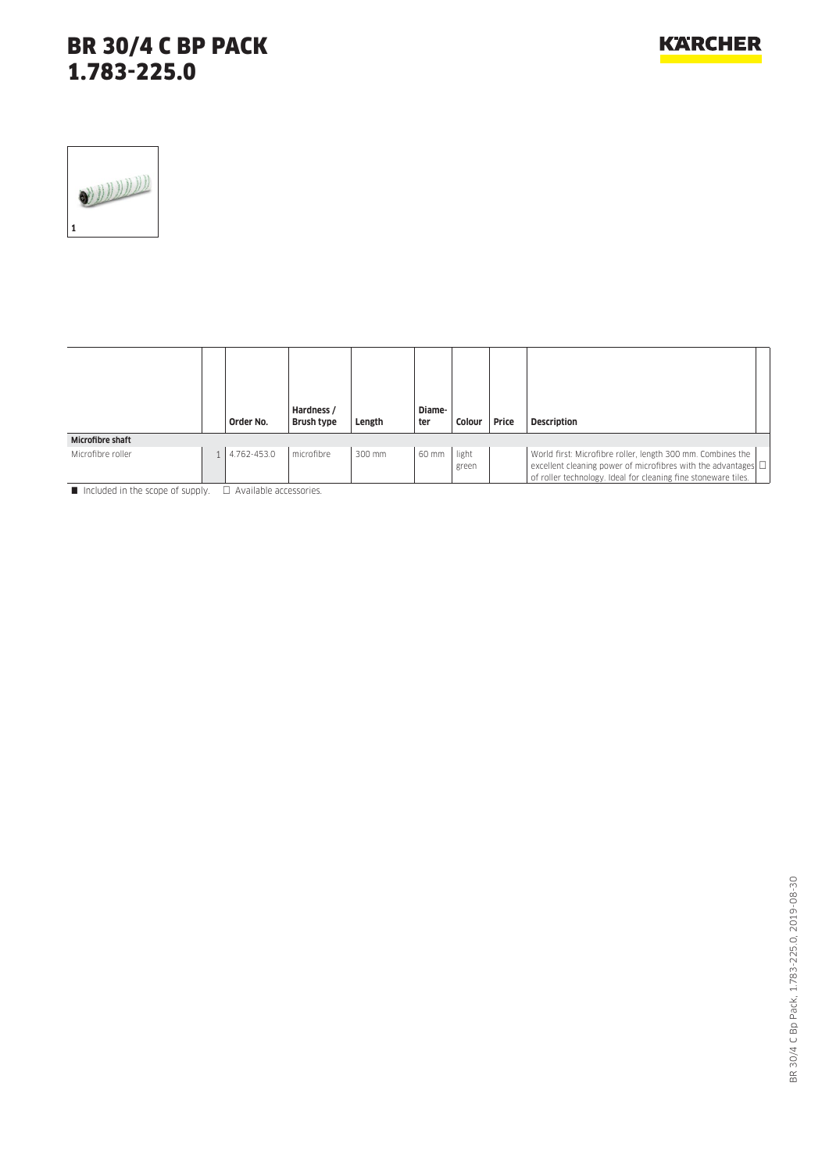|                         | Order No.   | Hardness /<br>Brush type | Length | Diame-<br>ter | Colour         | Price | <b>Description</b>                                                                                                                                                                                  |
|-------------------------|-------------|--------------------------|--------|---------------|----------------|-------|-----------------------------------------------------------------------------------------------------------------------------------------------------------------------------------------------------|
| <b>Microfibre shaft</b> |             |                          |        |               |                |       |                                                                                                                                                                                                     |
| Microfibre roller       | 4.762-453.0 | microfibre               | 300 mm | 60 mm         | light<br>green |       | World first: Microfibre roller, length 300 mm. Combines the<br>excellent cleaning power of microfibres with the advantages $\Box$<br>of roller technology. Ideal for cleaning fine stoneware tiles. |

Included in the scope of supply.  $\Box$  Available accessories.